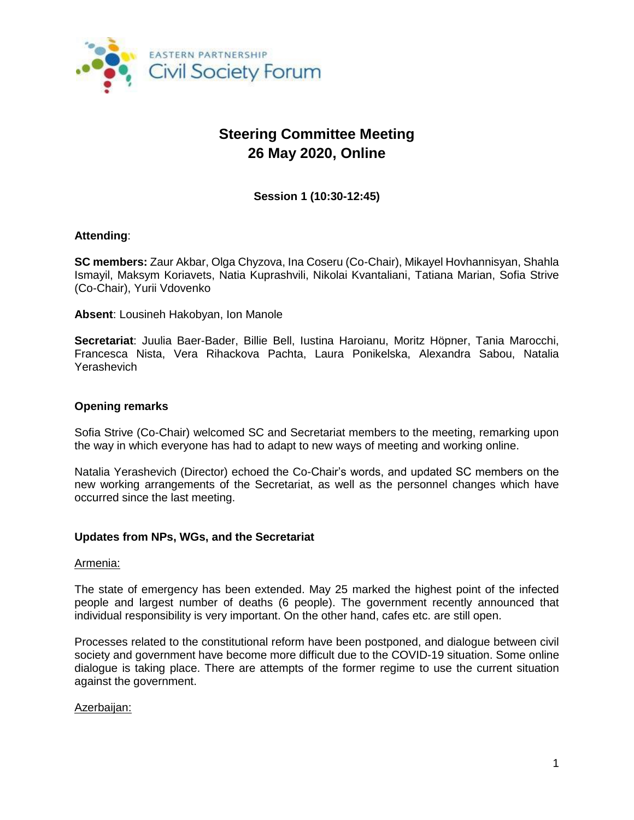

# **Steering Committee Meeting 26 May 2020, Online**

**Session 1 (10:30-12:45)**

## **Attending**:

**SC members:** Zaur Akbar, Olga Chyzova, Ina Coseru (Co-Chair), Mikayel Hovhannisyan, Shahla Ismayil, Maksym Koriavets, Natia Kuprashvili, Nikolai Kvantaliani, Tatiana Marian, Sofia Strive (Co-Chair), Yurii Vdovenko

**Absent**: Lousineh Hakobyan, Ion Manole

**Secretariat**: Juulia Baer-Bader, Billie Bell, Iustina Haroianu, Moritz Höpner, Tania Marocchi, Francesca Nista, Vera Rihackova Pachta, Laura Ponikelska, Alexandra Sabou, Natalia Yerashevich

## **Opening remarks**

Sofia Strive (Co-Chair) welcomed SC and Secretariat members to the meeting, remarking upon the way in which everyone has had to adapt to new ways of meeting and working online.

Natalia Yerashevich (Director) echoed the Co-Chair's words, and updated SC members on the new working arrangements of the Secretariat, as well as the personnel changes which have occurred since the last meeting.

#### **Updates from NPs, WGs, and the Secretariat**

#### Armenia:

The state of emergency has been extended. May 25 marked the highest point of the infected people and largest number of deaths (6 people). The government recently announced that individual responsibility is very important. On the other hand, cafes etc. are still open.

Processes related to the constitutional reform have been postponed, and dialogue between civil society and government have become more difficult due to the COVID-19 situation. Some online dialogue is taking place. There are attempts of the former regime to use the current situation against the government.

#### Azerbaijan: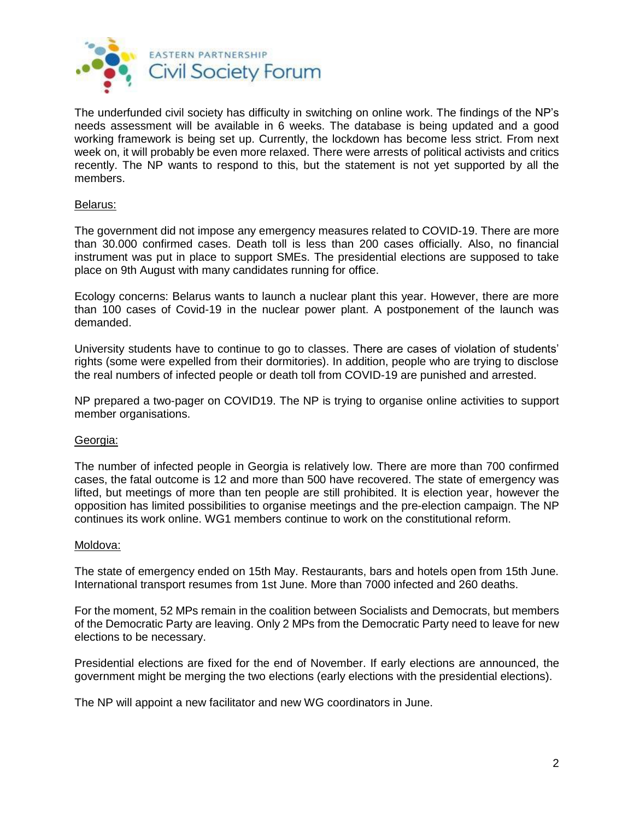

The underfunded civil society has difficulty in switching on online work. The findings of the NP's needs assessment will be available in 6 weeks. The database is being updated and a good working framework is being set up. Currently, the lockdown has become less strict. From next week on, it will probably be even more relaxed. There were arrests of political activists and critics recently. The NP wants to respond to this, but the statement is not yet supported by all the members.

## Belarus:

The government did not impose any emergency measures related to COVID-19. There are more than 30.000 confirmed cases. Death toll is less than 200 cases officially. Also, no financial instrument was put in place to support SMEs. The presidential elections are supposed to take place on 9th August with many candidates running for office.

Ecology concerns: Belarus wants to launch a nuclear plant this year. However, there are more than 100 cases of Covid-19 in the nuclear power plant. A postponement of the launch was demanded.

University students have to continue to go to classes. There are cases of violation of students' rights (some were expelled from their dormitories). In addition, people who are trying to disclose the real numbers of infected people or death toll from COVID-19 are punished and arrested.

NP prepared a two-pager on COVID19. The NP is trying to organise online activities to support member organisations.

#### Georgia:

The number of infected people in Georgia is relatively low. There are more than 700 confirmed cases, the fatal outcome is 12 and more than 500 have recovered. The state of emergency was lifted, but meetings of more than ten people are still prohibited. It is election year, however the opposition has limited possibilities to organise meetings and the pre-election campaign. The NP continues its work online. WG1 members continue to work on the constitutional reform.

#### Moldova:

The state of emergency ended on 15th May. Restaurants, bars and hotels open from 15th June. International transport resumes from 1st June. More than 7000 infected and 260 deaths.

For the moment, 52 MPs remain in the coalition between Socialists and Democrats, but members of the Democratic Party are leaving. Only 2 MPs from the Democratic Party need to leave for new elections to be necessary.

Presidential elections are fixed for the end of November. If early elections are announced, the government might be merging the two elections (early elections with the presidential elections).

The NP will appoint a new facilitator and new WG coordinators in June.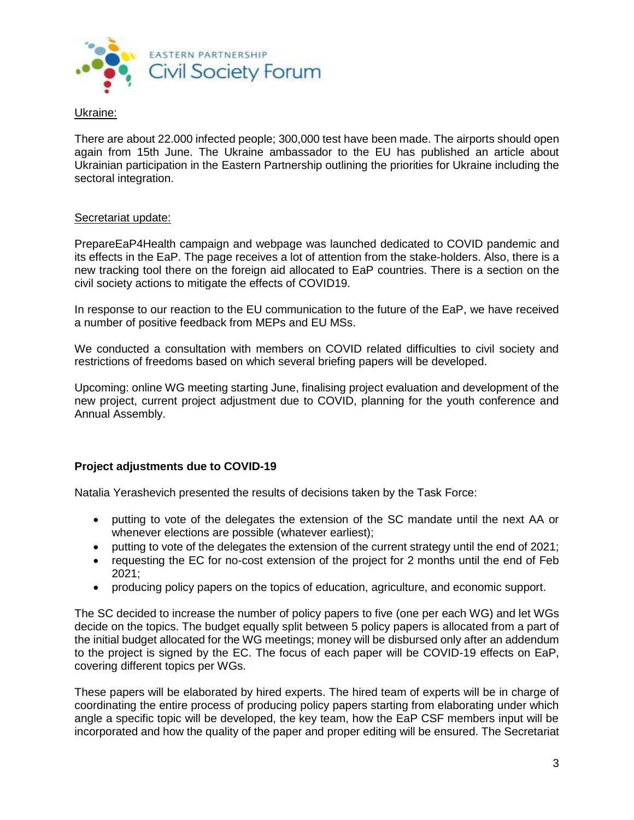

#### Ukraine:

There are about 22.000 infected people; 300,000 test have been made. The airports should open again from 15th June. The Ukraine ambassador to the EU has published an article about Ukrainian participation in the Eastern Partnership outlining the priorities for Ukraine including the sectoral integration.

## Secretariat update:

PrepareEaP4Health campaign and webpage was launched dedicated to COVID pandemic and its effects in the EaP. The page receives a lot of attention from the stake-holders. Also, there is a new tracking tool there on the foreign aid allocated to EaP countries. There is a section on the civil society actions to mitigate the effects of COVID19.

In response to our reaction to the EU communication to the future of the EaP, we have received a number of positive feedback from MEPs and EU MSs.

We conducted a consultation with members on COVID related difficulties to civil society and restrictions of freedoms based on which several briefing papers will be developed.

Upcoming: online WG meeting starting June, finalising project evaluation and development of the new project, current project adjustment due to COVID, planning for the youth conference and Annual Assembly.

## **Project adjustments due to COVID-19**

Natalia Yerashevich presented the results of decisions taken by the Task Force:

- putting to vote of the delegates the extension of the SC mandate until the next AA or whenever elections are possible (whatever earliest);
- putting to vote of the delegates the extension of the current strategy until the end of 2021;
- requesting the EC for no-cost extension of the project for 2 months until the end of Feb 2021;
- producing policy papers on the topics of education, agriculture, and economic support.

The SC decided to increase the number of policy papers to five (one per each WG) and let WGs decide on the topics. The budget equally split between 5 policy papers is allocated from a part of the initial budget allocated for the WG meetings; money will be disbursed only after an addendum to the project is signed by the EC. The focus of each paper will be COVID-19 effects on EaP, covering different topics per WGs.

These papers will be elaborated by hired experts. The hired team of experts will be in charge of coordinating the entire process of producing policy papers starting from elaborating under which angle a specific topic will be developed, the key team, how the EaP CSF members input will be incorporated and how the quality of the paper and proper editing will be ensured. The Secretariat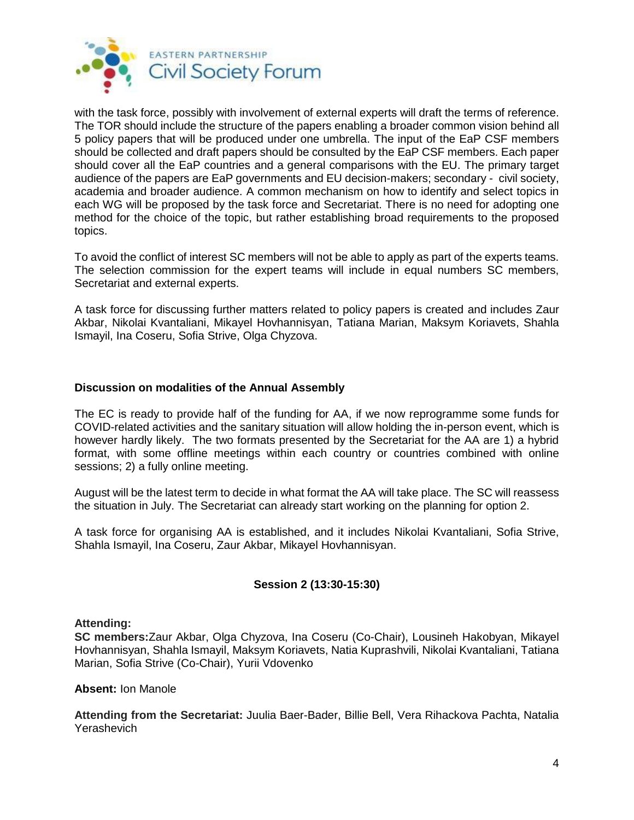

with the task force, possibly with involvement of external experts will draft the terms of reference. The TOR should include the structure of the papers enabling a broader common vision behind all 5 policy papers that will be produced under one umbrella. The input of the EaP CSF members should be collected and draft papers should be consulted by the EaP CSF members. Each paper should cover all the EaP countries and a general comparisons with the EU. The primary target audience of the papers are EaP governments and EU decision-makers; secondary - civil society, academia and broader audience. A common mechanism on how to identify and select topics in each WG will be proposed by the task force and Secretariat. There is no need for adopting one method for the choice of the topic, but rather establishing broad requirements to the proposed topics.

To avoid the conflict of interest SC members will not be able to apply as part of the experts teams. The selection commission for the expert teams will include in equal numbers SC members, Secretariat and external experts.

A task force for discussing further matters related to policy papers is created and includes Zaur Akbar, Nikolai Kvantaliani, Mikayel Hovhannisyan, Tatiana Marian, Maksym Koriavets, Shahla Ismayil, Ina Coseru, Sofia Strive, Olga Chyzova.

## **Discussion on modalities of the Annual Assembly**

The EC is ready to provide half of the funding for AA, if we now reprogramme some funds for COVID-related activities and the sanitary situation will allow holding the in-person event, which is however hardly likely. The two formats presented by the Secretariat for the AA are 1) a hybrid format, with some offline meetings within each country or countries combined with online sessions; 2) a fully online meeting.

August will be the latest term to decide in what format the AA will take place. The SC will reassess the situation in July. The Secretariat can already start working on the planning for option 2.

A task force for organising AA is established, and it includes Nikolai Kvantaliani, Sofia Strive, Shahla Ismayil, Ina Coseru, Zaur Akbar, Mikayel Hovhannisyan.

## **Session 2 (13:30-15:30)**

#### **Attending:**

**SC members:**Zaur Akbar, Olga Chyzova, Ina Coseru (Co-Chair), Lousineh Hakobyan, Mikayel Hovhannisyan, Shahla Ismayil, Maksym Koriavets, Natia Kuprashvili, Nikolai Kvantaliani, Tatiana Marian, Sofia Strive (Co-Chair), Yurii Vdovenko

#### **Absent:** Ion Manole

**Attending from the Secretariat:** Juulia Baer-Bader, Billie Bell, Vera Rihackova Pachta, Natalia Yerashevich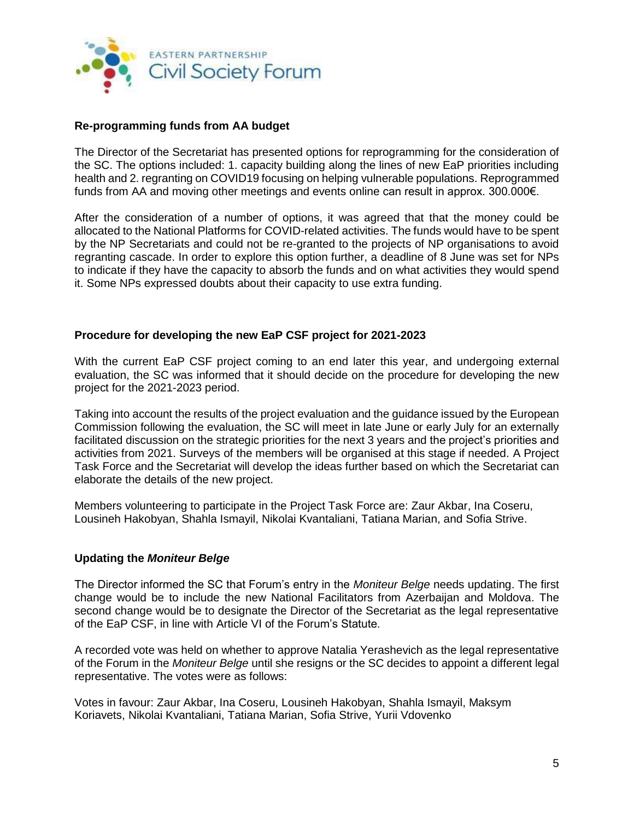

## **Re-programming funds from AA budget**

The Director of the Secretariat has presented options for reprogramming for the consideration of the SC. The options included: 1. capacity building along the lines of new EaP priorities including health and 2. regranting on COVID19 focusing on helping vulnerable populations. Reprogrammed funds from AA and moving other meetings and events online can result in approx. 300.000€.

After the consideration of a number of options, it was agreed that that the money could be allocated to the National Platforms for COVID-related activities. The funds would have to be spent by the NP Secretariats and could not be re-granted to the projects of NP organisations to avoid regranting cascade. In order to explore this option further, a deadline of 8 June was set for NPs to indicate if they have the capacity to absorb the funds and on what activities they would spend it. Some NPs expressed doubts about their capacity to use extra funding.

## **Procedure for developing the new EaP CSF project for 2021-2023**

With the current EaP CSF project coming to an end later this year, and undergoing external evaluation, the SC was informed that it should decide on the procedure for developing the new project for the 2021-2023 period.

Taking into account the results of the project evaluation and the guidance issued by the European Commission following the evaluation, the SC will meet in late June or early July for an externally facilitated discussion on the strategic priorities for the next 3 years and the project's priorities and activities from 2021. Surveys of the members will be organised at this stage if needed. A Project Task Force and the Secretariat will develop the ideas further based on which the Secretariat can elaborate the details of the new project.

Members volunteering to participate in the Project Task Force are: Zaur Akbar, Ina Coseru, Lousineh Hakobyan, Shahla Ismayil, Nikolai Kvantaliani, Tatiana Marian, and Sofia Strive.

#### **Updating the** *Moniteur Belge*

The Director informed the SC that Forum's entry in the *Moniteur Belge* needs updating. The first change would be to include the new National Facilitators from Azerbaijan and Moldova. The second change would be to designate the Director of the Secretariat as the legal representative of the EaP CSF, in line with Article VI of the Forum's Statute.

A recorded vote was held on whether to approve Natalia Yerashevich as the legal representative of the Forum in the *Moniteur Belge* until she resigns or the SC decides to appoint a different legal representative. The votes were as follows:

Votes in favour: Zaur Akbar, Ina Coseru, Lousineh Hakobyan, Shahla Ismayil, Maksym Koriavets, Nikolai Kvantaliani, Tatiana Marian, Sofia Strive, Yurii Vdovenko